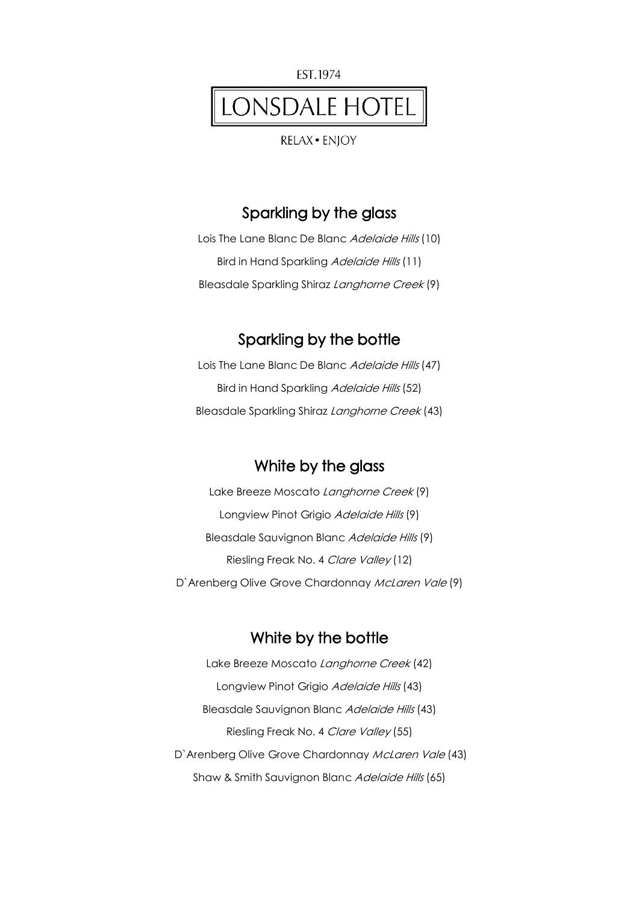

RELAX · ENIOY

#### Sparkling by the glass

Lois The Lane Blanc De Blanc Adelaide Hills (10) Bird in Hand Sparkling Adelaide Hills (11) Bleasdale Sparkling Shiraz Langhorne Creek (9)

#### Sparkling by the bottle

Lois The Lane Blanc De Blanc Adelaide Hills (47) Bird in Hand Sparkling Adelaide Hills (52) Bleasdale Sparkling Shiraz Langhorne Creek (43)

### White by the glass

Lake Breeze Moscato Langhorne Creek (9) Longview Pinot Grigio Adelaide Hills (9) Bleasdale Sauvignon Blanc Adelaide Hills (9) Riesling Freak No. 4 Clare Valley (12) D'Arenberg Olive Grove Chardonnay McLaren Vale (9)

#### White by the bottle

Lake Breeze Moscato Langhorne Creek (42) Longview Pinot Grigio Adelaide Hills (43) Bleasdale Sauvignon Blanc Adelaide Hills (43) Riesling Freak No. 4 Clare Valley (55) D'Arenberg Olive Grove Chardonnay McLaren Vale (43) Shaw & Smith Sauvignon Blanc Adelaide Hills (65)